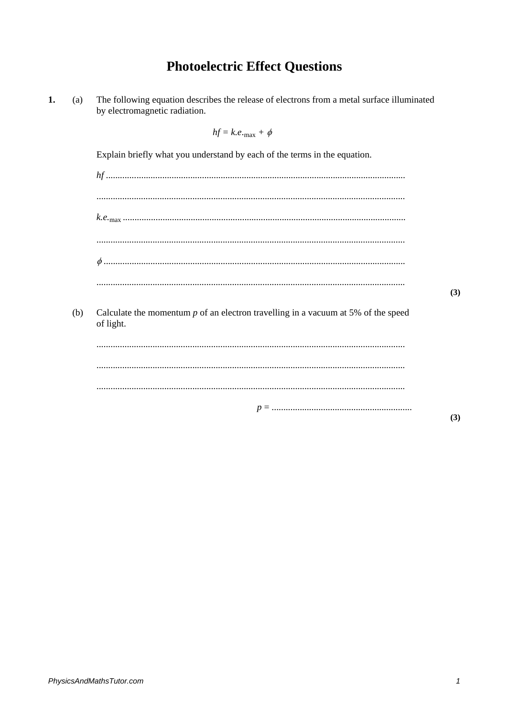## **Photoelectric Effect Questions**

| 1. | (a) | The following equation describes the release of electrons from a metal surface illuminated<br>by electromagnetic radiation. |     |
|----|-----|-----------------------------------------------------------------------------------------------------------------------------|-----|
|    |     | $hf = k.e._{\text{max}} + \phi$                                                                                             |     |
|    |     | Explain briefly what you understand by each of the terms in the equation.                                                   |     |
|    |     |                                                                                                                             |     |
|    |     |                                                                                                                             |     |
|    |     |                                                                                                                             |     |
|    |     |                                                                                                                             |     |
|    |     |                                                                                                                             |     |
|    |     |                                                                                                                             | (3) |
|    | (b) | Calculate the momentum $p$ of an electron travelling in a vacuum at 5% of the speed<br>of light.                            |     |
|    |     |                                                                                                                             |     |
|    |     |                                                                                                                             |     |
|    |     |                                                                                                                             |     |
|    |     |                                                                                                                             |     |

 $(3)$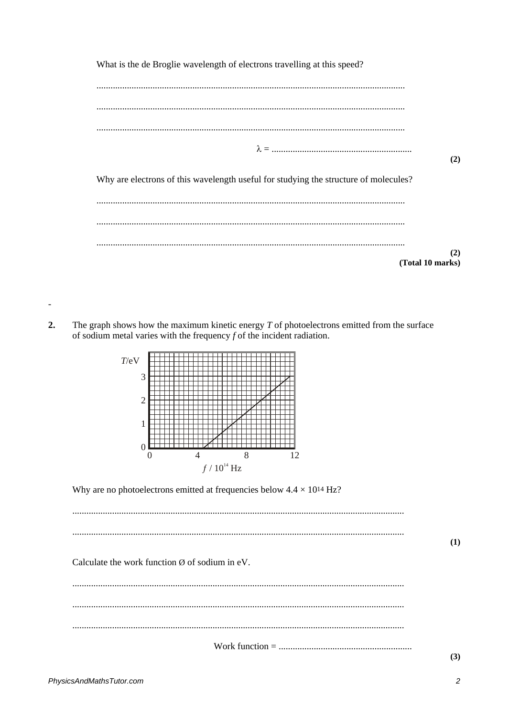| What is the de Broglie wavelength of electrons travelling at this speed? |                                                                                      |                  |
|--------------------------------------------------------------------------|--------------------------------------------------------------------------------------|------------------|
|                                                                          |                                                                                      |                  |
|                                                                          |                                                                                      |                  |
|                                                                          |                                                                                      |                  |
|                                                                          |                                                                                      | (2)              |
|                                                                          | Why are electrons of this wavelength useful for studying the structure of molecules? |                  |
|                                                                          |                                                                                      |                  |
|                                                                          |                                                                                      |                  |
|                                                                          |                                                                                      |                  |
|                                                                          |                                                                                      | (2)              |
|                                                                          |                                                                                      | (Total 10 marks) |

 $2.$ The graph shows how the maximum kinetic energy  $T$  of photoelectrons emitted from the surface of sodium metal varies with the frequency  $f$  of the incident radiation.



Why are no photoelectrons emitted at frequencies below  $4.4 \times 10^{14}$  Hz?

 $(1)$ Calculate the work function  $\emptyset$  of sodium in eV.  $(3)$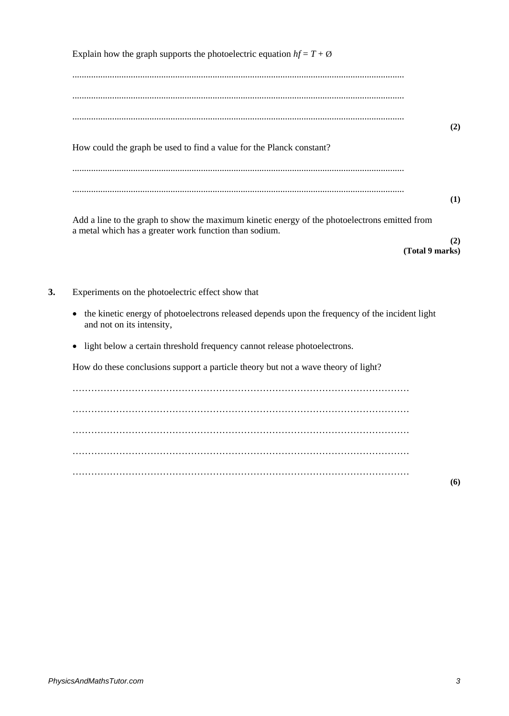| Explain how the graph supports the photoelectric equation $hf = T + \emptyset$                                                                          |                        |
|---------------------------------------------------------------------------------------------------------------------------------------------------------|------------------------|
|                                                                                                                                                         |                        |
| How could the graph be used to find a value for the Planck constant?                                                                                    | (2)                    |
|                                                                                                                                                         | (1)                    |
| Add a line to the graph to show the maximum kinetic energy of the photoelectrons emitted from<br>a metal which has a greater work function than sodium. | (2)<br>(Total 9 marks) |
| Experiments on the photoelectric effect show that                                                                                                       |                        |
| the kinetic energy of photoelectrons released depends upon the frequency of the incident light<br>$\bullet$<br>and not on its intensity,                |                        |
| light below a certain threshold frequency cannot release photoelectrons.<br>$\bullet$                                                                   |                        |
| How do these conclusions support a particle theory but not a wave theory of light?                                                                      |                        |
|                                                                                                                                                         |                        |
|                                                                                                                                                         |                        |
|                                                                                                                                                         |                        |
|                                                                                                                                                         |                        |
|                                                                                                                                                         |                        |

**(6)**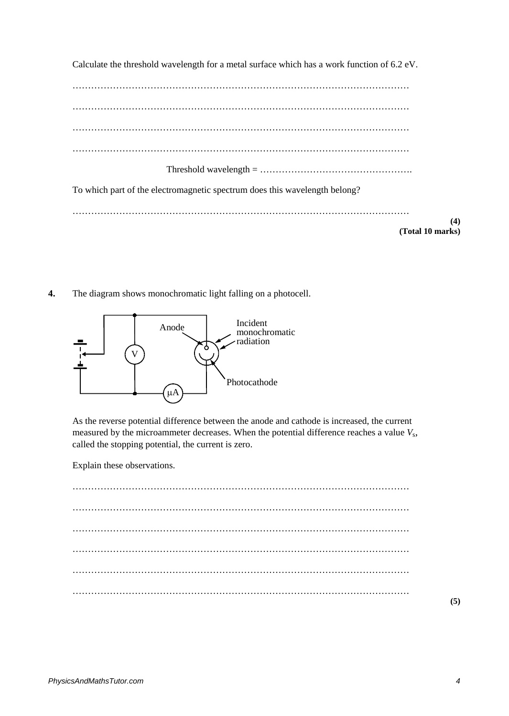Calculate the threshold wavelength for a metal surface which has a work function of 6.2 eV. ……………………………………………………………………………………………… ……………………………………………………………………………………………… ……………………………………………………………………………………………… ……………………………………………………………………………………………… Threshold wavelength = …………………………………………. To which part of the electromagnetic spectrum does this wavelength belong? ……………………………………………………………………………………………… **(4) (Total 10 marks)**

**4.** The diagram shows monochromatic light falling on a photocell.



As the reverse potential difference between the anode and cathode is increased, the current measured by the microammeter decreases. When the potential difference reaches a value  $V_s$ , called the stopping potential, the current is zero.

Explain these observations.

……………………………………………………………………………………………… ……………………………………………………………………………………………… ……………………………………………………………………………………………… ……………………………………………………………………………………………… ……………………………………………………………………………………………… ………………………………………………………………………………………………

**(5)**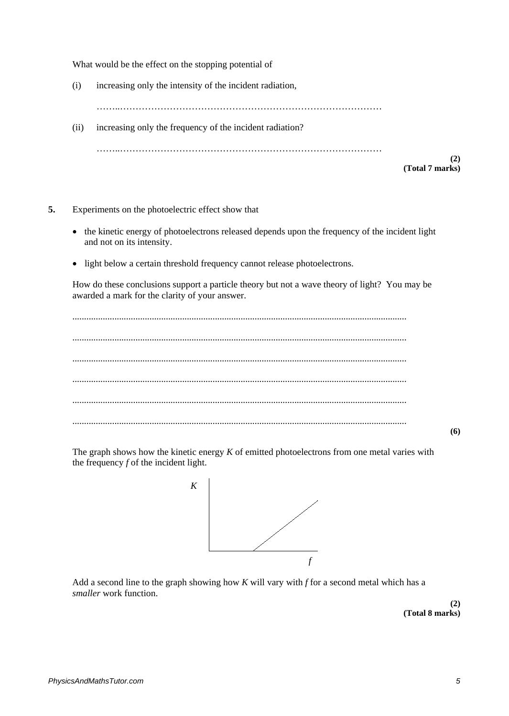What would be the effect on the stopping potential of

(i) increasing only the intensity of the incident radiation,

……..…………………………………………………………………………

(ii) increasing only the frequency of the incident radiation?

……..…………………………………………………………………………

**(2) (Total 7 marks)**

- **5.** Experiments on the photoelectric effect show that
	- the kinetic energy of photoelectrons released depends upon the frequency of the incident light and not on its intensity.
	- light below a certain threshold frequency cannot release photoelectrons.

How do these conclusions support a particle theory but not a wave theory of light? You may be awarded a mark for the clarity of your answer.

............................................................................................................................................... ............................................................................................................................................... ............................................................................................................................................... ............................................................................................................................................... ............................................................................................................................................... ...............................................................................................................................................

**(6)**

The graph shows how the kinetic energy *K* of emitted photoelectrons from one metal varies with the frequency *f* of the incident light.



Add a second line to the graph showing how *K* will vary with *f* for a second metal which has a *smaller* work function.

> **(2) (Total 8 marks)**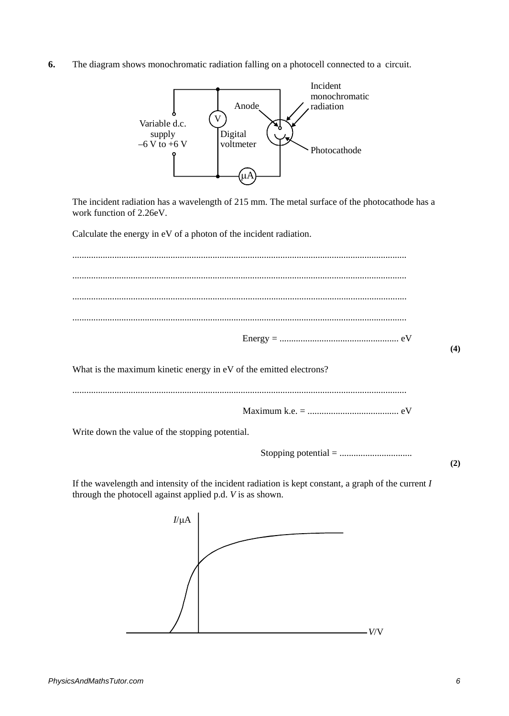**6.** The diagram shows monochromatic radiation falling on a photocell connected to a circuit.



The incident radiation has a wavelength of 215 mm. The metal surface of the photocathode has a work function of 2.26eV.

Calculate the energy in eV of a photon of the incident radiation.

............................................................................................................................................... ............................................................................................................................................... ............................................................................................................................................... ............................................................................................................................................... Energy = ................................................... eV

What is the maximum kinetic energy in eV of the emitted electrons?

............................................................................................................................................... Maximum k.e. = ....................................... eV Write down the value of the stopping potential.

Stopping potential = ...............................

**(2)**

**(4)**

If the wavelength and intensity of the incident radiation is kept constant, a graph of the current *I* through the photocell against applied p.d. *V* is as shown.

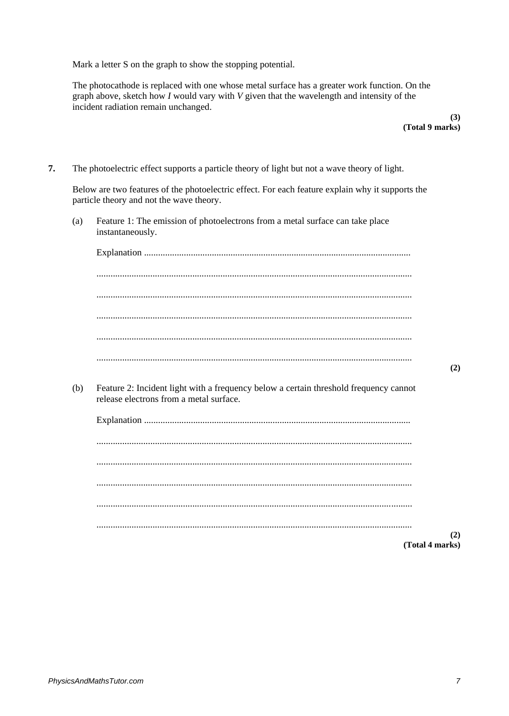Mark a letter S on the graph to show the stopping potential.

The photocathode is replaced with one whose metal surface has a greater work function. On the graph above, sketch how  $I$  would vary with  $V$  given that the wavelength and intensity of the incident radiation remain unchanged.

> $(3)$ (Total 9 marks)

 $\overline{7}$ . The photoelectric effect supports a particle theory of light but not a wave theory of light.

Below are two features of the photoelectric effect. For each feature explain why it supports the particle theory and not the wave theory.

Feature 1: The emission of photoelectrons from a metal surface can take place  $(a)$ instantaneously.

 $(b)$ Feature 2: Incident light with a frequency below a certain threshold frequency cannot release electrons from a metal surface.

| (2)<br>(Total 4 marks) |
|------------------------|
|                        |

 $(2)$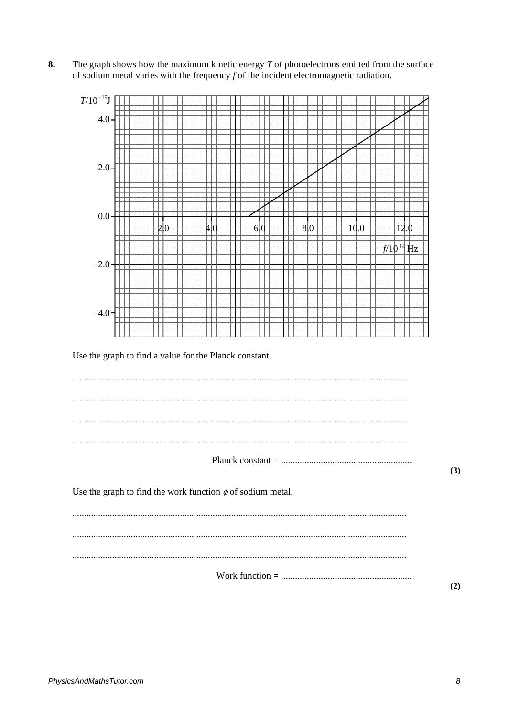8. The graph shows how the maximum kinetic energy  $T$  of photoelectrons emitted from the surface of sodium metal varies with the frequency  $f$  of the incident electromagnetic radiation.



 $(2)$ 

 $(3)$